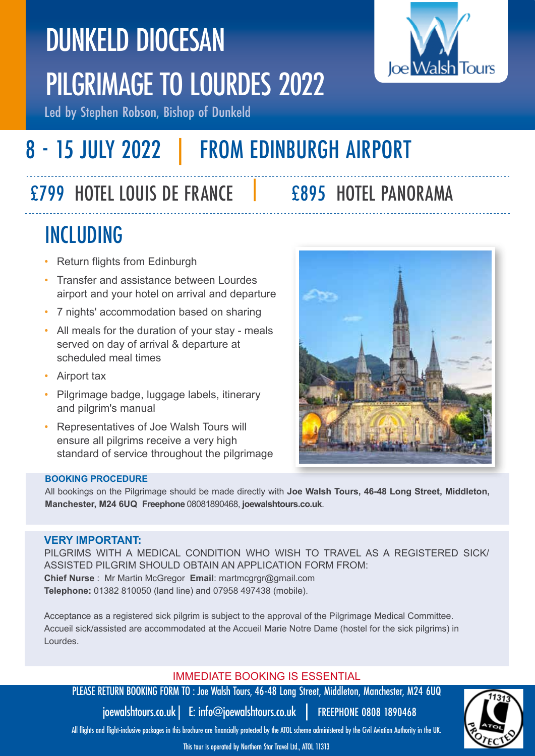# DUNKELD DIOCESAN PILGRIMAGE TO LOURDES 2022



Led by Stephen Robson, Bishop of Dunkeld

## 8 - 15 JULY 2022 | FROM EDINBURGH AIRPORT

### £799 HOTEL LOUIS DE FRANCE |

### £895 HOTEL PANORAMA

### INCLUDING

- Return flights from Edinburgh
- Transfer and assistance between Lourdes airport and your hotel on arrival and departure
- 7 nights' accommodation based on sharing
- All meals for the duration of your stay meals served on day of arrival & departure at scheduled meal times
- Airport tax
- Pilgrimage badge, luggage labels, itinerary and pilgrim's manual
- Representatives of Joe Walsh Tours will ensure all pilgrims receive a very high standard of service throughout the pilgrimage

#### **BOOKING PROCEDURE**

All bookings on the Pilgrimage should be made directly with **Joe Walsh Tours, 46-48 Long Street, Middleton, Manchester, M24 6UQ Freephone** 08081890468, **joewalshtours.co.uk**.

#### **VERY IMPORTANT:**

PILGRIMS WITH A MEDICAL CONDITION WHO WISH TO TRAVEL AS A REGISTERED SICK/ ASSISTED PILGRIM SHOULD OBTAIN AN APPLICATION FORM FROM: **Chief Nurse** : Mr Martin McGregor **Email**: martmcgrgr@gmail.com **Telephone:** 01382 810050 (land line) and 07958 497438 (mobile).

Acceptance as a registered sick pilgrim is subject to the approval of the Pilgrimage Medical Committee. Accueil sick/assisted are accommodated at the Accueil Marie Notre Dame (hostel for the sick pilgrims) in Lourdes.

#### IMMEDIATE BOOKING IS ESSENTIAL

PLEASE RETURN BOOKING FORM TO : Joe Walsh Tours, 46-48 Long Street, Middleton, Manchester, M24 6UQ

joewalshtours.co.uk| E: info@joewalshtours.co.uk | FREEPHONE 0808 1890468



All flights and flight-inclusive packages in this brochure are financially protected by the ATOL scheme administered by the Civil Aviation Authority in the UK.

This tour is operated by Northern Star Travel Ltd., ATOL 11313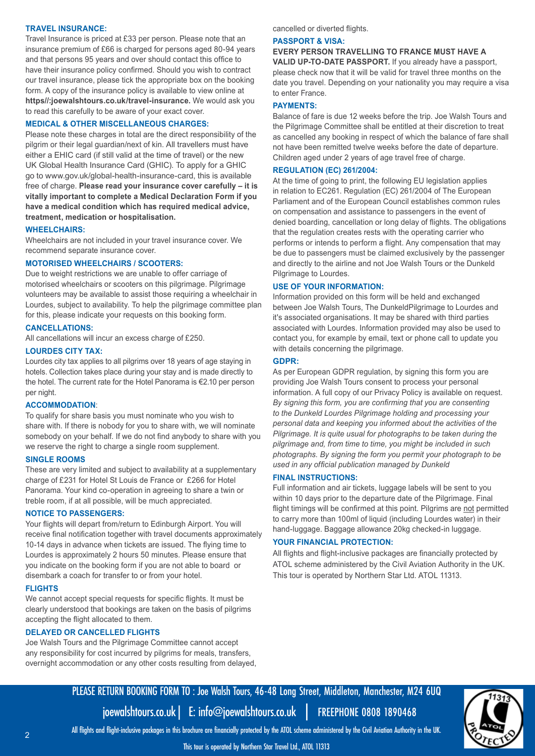#### **TRAVEL INSURANCE:**

Travel Insurance is priced at £33 per person. Please note that an insurance premium of £66 is charged for persons aged 80-94 years and that persons 95 years and over should contact this office to have their insurance policy confirmed. Should you wish to contract our travel insurance, please tick the appropriate box on the booking form. A copy of the insurance policy is available to view online at **https//:joewalshtours.co.uk/travel-insurance.** We would ask you to read this carefully to be aware of your exact cover.

#### **MEDICAL & OTHER MISCELLANEOUS CHARGES:**

Please note these charges in total are the direct responsibility of the pilgrim or their legal guardian/next of kin. All travellers must have either a EHIC card (if still valid at the time of travel) or the new UK Global Health Insurance Card (GHIC). To apply for a GHIC go to www.gov.uk/global-health-insurance-card, this is available free of charge. **Please read your insurance cover carefully – it is vitally important to complete a Medical Declaration Form if you have a medical condition which has required medical advice, treatment, medication or hospitalisation.**

#### **WHEELCHAIRS:**

Wheelchairs are not included in your travel insurance cover. We recommend separate insurance cover.

#### **MOTORISED WHEELCHAIRS / SCOOTERS:**

Due to weight restrictions we are unable to offer carriage of motorised wheelchairs or scooters on this pilgrimage. Pilgrimage volunteers may be available to assist those requiring a wheelchair in Lourdes, subject to availability. To help the pilgrimage committee plan for this, please indicate your requests on this booking form.

#### **CANCELLATIONS:**

All cancellations will incur an excess charge of £250.

#### **LOURDES CITY TAX:**

Lourdes city tax applies to all pilgrims over 18 years of age staying in hotels. Collection takes place during your stay and is made directly to the hotel. The current rate for the Hotel Panorama is €2.10 per person per night.

#### **ACCOMMODATION**:

To qualify for share basis you must nominate who you wish to share with. If there is nobody for you to share with, we will nominate somebody on your behalf. If we do not find anybody to share with you we reserve the right to charge a single room supplement.

#### **SINGLE ROOMS**

These are very limited and subject to availability at a supplementary charge of £231 for Hotel St Louis de France or £266 for Hotel Panorama. Your kind co-operation in agreeing to share a twin or treble room, if at all possible, will be much appreciated.

#### **NOTICE TO PASSENGERS:**

Your flights will depart from/return to Edinburgh Airport. You will receive final notification together with travel documents approximately 10-14 days in advance when tickets are issued. The flying time to Lourdes is approximately 2 hours 50 minutes. Please ensure that you indicate on the booking form if you are not able to board or disembark a coach for transfer to or from your hotel.

#### **FLIGHTS**

We cannot accept special requests for specific flights. It must be clearly understood that bookings are taken on the basis of pilgrims accepting the flight allocated to them.

#### **DELAYED OR CANCELLED FLIGHTS**

Joe Walsh Tours and the Pilgrimage Committee cannot accept any responsibility for cost incurred by pilgrims for meals, transfers, overnight accommodation or any other costs resulting from delayed, cancelled or diverted flights.

#### **PASSPORT & VISA:**

**EVERY PERSON TRAVELLING TO FRANCE MUST HAVE A VALID UP-TO-DATE PASSPORT.** If you already have a passport, please check now that it will be valid for travel three months on the date you travel. Depending on your nationality you may require a visa to enter France.

#### **PAYMENTS:**

Balance of fare is due 12 weeks before the trip. Joe Walsh Tours and the Pilgrimage Committee shall be entitled at their discretion to treat as cancelled any booking in respect of which the balance of fare shall not have been remitted twelve weeks before the date of departure. Children aged under 2 years of age travel free of charge.

#### **REGULATION (EC) 261/2004:**

At the time of going to print, the following EU legislation applies in relation to EC261. Regulation (EC) 261/2004 of The European Parliament and of the European Council establishes common rules on compensation and assistance to passengers in the event of denied boarding, cancellation or long delay of flights. The obligations that the regulation creates rests with the operating carrier who performs or intends to perform a flight. Any compensation that may be due to passengers must be claimed exclusively by the passenger and directly to the airline and not Joe Walsh Tours or the Dunkeld Pilgrimage to Lourdes.

#### **USE OF YOUR INFORMATION:**

Information provided on this form will be held and exchanged between Joe Walsh Tours, The DunkeldPilgrimage to Lourdes and it's associated organisations. It may be shared with third parties associated with Lourdes. Information provided may also be used to contact you, for example by email, text or phone call to update you with details concerning the pilgrimage.

#### **GDPR:**

As per European GDPR regulation, by signing this form you are providing Joe Walsh Tours consent to process your personal information. A full copy of our Privacy Policy is available on request. *By signing this form, you are confirming that you are consenting to the Dunkeld Lourdes Pilgrimage holding and processing your personal data and keeping you informed about the activities of the Pilgrimage. It is quite usual for photographs to be taken during the pilgrimage and, from time to time, you might be included in such photographs. By signing the form you permit your photograph to be used in any official publication managed by Dunkeld*

#### **FINAL INSTRUCTIONS:**

Full information and air tickets, luggage labels will be sent to you within 10 days prior to the departure date of the Pilgrimage. Final flight timings will be confirmed at this point. Pilgrims are not permitted to carry more than 100ml of liquid (including Lourdes water) in their hand-luggage. Baggage allowance 20kg checked-in luggage.

#### **YOUR FINANCIAL PROTECTION:**

All flights and flight-inclusive packages are financially protected by ATOL scheme administered by the Civil Aviation Authority in the UK. This tour is operated by Northern Star Ltd. ATOL 11313.

#### PLEASE RETURN BOOKING FORM TO : Joe Walsh Tours, 46-48 Long Street, Middleton, Manchester, M24 6UQ

joewalshtours.co.uk| E: info@joewalshtours.co.uk | FREEPHONE 0808 1890468

All flights and flight-inclusive packages in this brochure are financially protected by the ATOL scheme administered by the Civil Aviation Authority in the UK.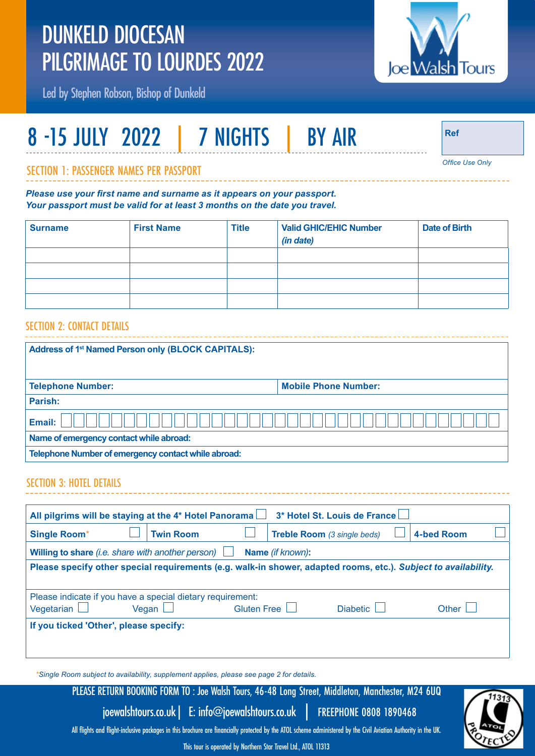### DUNKELD DIOCESAN PILGRIMAGE TO LOURDES 2022



Led by Stephen Robson, Bishop of Dunkeld

### 8 -15 JULY 2022 | 7 NIGHTS | BY AIR

**Ref**

*Office Use Only*

SECTION 1: PASSENGER NAMES PER PASSPORT

*Please use your first name and surname as it appears on your passport. Your passport must be valid for at least 3 months on the date you travel.*

| <b>Surname</b> | <b>First Name</b> | <b>Title</b> | <b>Valid GHIC/EHIC Number</b><br>(in date) | <b>Date of Birth</b> |
|----------------|-------------------|--------------|--------------------------------------------|----------------------|
|                |                   |              |                                            |                      |
|                |                   |              |                                            |                      |
|                |                   |              |                                            |                      |
|                |                   |              |                                            |                      |

#### SECTION 2: CONTACT DETAILS

| Address of 1 <sup>st</sup> Named Person only (BLOCK CAPITALS): |                             |  |  |  |  |  |
|----------------------------------------------------------------|-----------------------------|--|--|--|--|--|
| <b>Telephone Number:</b>                                       | <b>Mobile Phone Number:</b> |  |  |  |  |  |
| Parish:                                                        |                             |  |  |  |  |  |
| Email:                                                         |                             |  |  |  |  |  |
| Name of emergency contact while abroad:                        |                             |  |  |  |  |  |
| Telephone Number of emergency contact while abroad:            |                             |  |  |  |  |  |

#### SECTION 3: HOTEL DETAILS

| 3* Hotel St. Louis de France<br>All pilgrims will be staying at the 4* Hotel Panorama                          |       |                  |                    |  |                                    |  |            |  |
|----------------------------------------------------------------------------------------------------------------|-------|------------------|--------------------|--|------------------------------------|--|------------|--|
| <b>Single Room*</b>                                                                                            |       | <b>Twin Room</b> |                    |  | <b>Treble Room</b> (3 single beds) |  | 4-bed Room |  |
| <b>Willing to share</b> ( <i>i.e. share with another person</i> )<br>Name (if known):                          |       |                  |                    |  |                                    |  |            |  |
| Please specify other special requirements (e.g. walk-in shower, adapted rooms, etc.). Subject to availability. |       |                  |                    |  |                                    |  |            |  |
| Please indicate if you have a special dietary requirement:<br>Vegetarian                                       | Vegan |                  | <b>Gluten Free</b> |  | <b>Diabetic</b>                    |  | Other      |  |
| If you ticked 'Other', please specify:                                                                         |       |                  |                    |  |                                    |  |            |  |

*\*Single Room subject to availability, supplement applies, please see page 2 for details.*

PLEASE RETURN BOOKING FORM TO : Joe Walsh Tours, 46-48 Long Street, Middleton, Manchester, M24 6UQ

joewalshtours.co.uk| E: info@joewalshtours.co.uk | FREEPHONE 0808 1890468



All flights and flight-inclusive packages in this brochure are financially protected by the ATOL scheme administered by the Civil Aviation Authority in the UK.

This tour is operated by Northern Star Travel Ltd., ATOL 11313